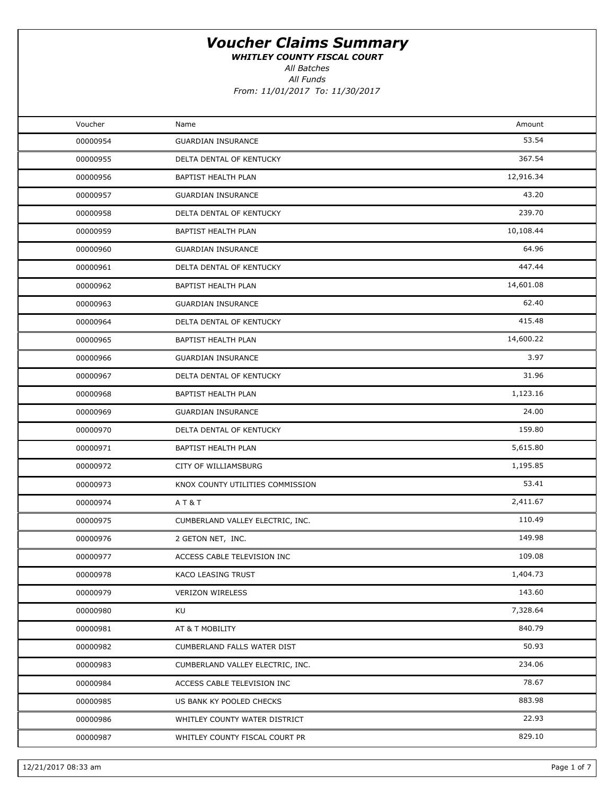WHITLEY COUNTY FISCAL COURT

All Funds All Batches

| Voucher  | Name                             | Amount    |  |
|----------|----------------------------------|-----------|--|
| 00000954 | <b>GUARDIAN INSURANCE</b>        | 53.54     |  |
| 00000955 | DELTA DENTAL OF KENTUCKY         | 367.54    |  |
| 00000956 | BAPTIST HEALTH PLAN              | 12,916.34 |  |
| 00000957 | <b>GUARDIAN INSURANCE</b>        | 43.20     |  |
| 00000958 | DELTA DENTAL OF KENTUCKY         | 239.70    |  |
| 00000959 | BAPTIST HEALTH PLAN              | 10,108.44 |  |
| 00000960 | <b>GUARDIAN INSURANCE</b>        | 64.96     |  |
| 00000961 | DELTA DENTAL OF KENTUCKY         | 447.44    |  |
| 00000962 | BAPTIST HEALTH PLAN              | 14,601.08 |  |
| 00000963 | <b>GUARDIAN INSURANCE</b>        | 62.40     |  |
| 00000964 | DELTA DENTAL OF KENTUCKY         | 415.48    |  |
| 00000965 | BAPTIST HEALTH PLAN              | 14,600.22 |  |
| 00000966 | <b>GUARDIAN INSURANCE</b>        | 3.97      |  |
| 00000967 | DELTA DENTAL OF KENTUCKY         | 31.96     |  |
| 00000968 | BAPTIST HEALTH PLAN              | 1,123.16  |  |
| 00000969 | <b>GUARDIAN INSURANCE</b>        | 24.00     |  |
| 00000970 | DELTA DENTAL OF KENTUCKY         | 159.80    |  |
| 00000971 | BAPTIST HEALTH PLAN              | 5,615.80  |  |
| 00000972 | CITY OF WILLIAMSBURG             | 1,195.85  |  |
| 00000973 | KNOX COUNTY UTILITIES COMMISSION | 53.41     |  |
| 00000974 | AT&T                             | 2,411.67  |  |
| 00000975 | CUMBERLAND VALLEY ELECTRIC, INC. | 110.49    |  |
| 00000976 | 2 GETON NET, INC.                | 149.98    |  |
| 00000977 | ACCESS CABLE TELEVISION INC      | 109.08    |  |
| 00000978 | KACO LEASING TRUST               | 1,404.73  |  |
| 00000979 | <b>VERIZON WIRELESS</b>          | 143.60    |  |
| 00000980 | KU                               | 7,328.64  |  |
| 00000981 | AT & T MOBILITY                  | 840.79    |  |
| 00000982 | CUMBERLAND FALLS WATER DIST      | 50.93     |  |
| 00000983 | CUMBERLAND VALLEY ELECTRIC, INC. | 234.06    |  |
| 00000984 | ACCESS CABLE TELEVISION INC      | 78.67     |  |
| 00000985 | US BANK KY POOLED CHECKS         | 883.98    |  |
| 00000986 | WHITLEY COUNTY WATER DISTRICT    | 22.93     |  |
| 00000987 | WHITLEY COUNTY FISCAL COURT PR   | 829.10    |  |
|          |                                  |           |  |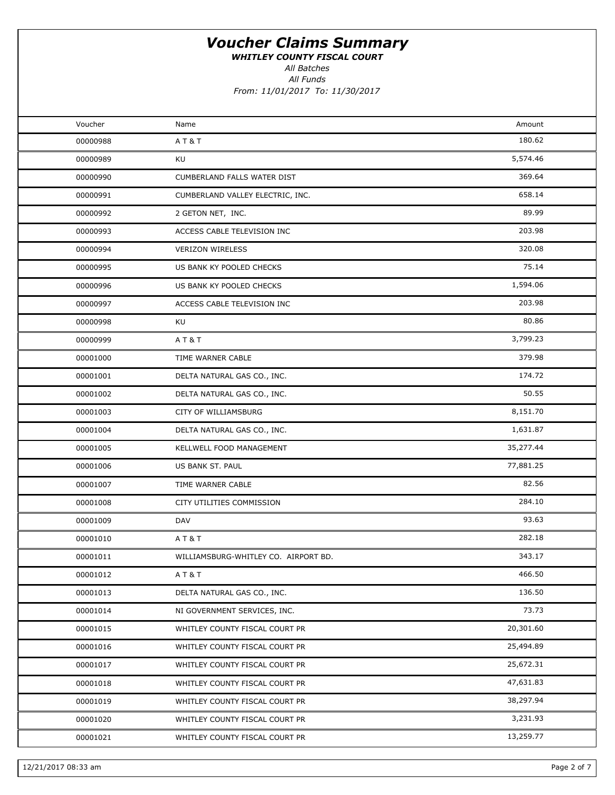WHITLEY COUNTY FISCAL COURT

All Funds All Batches

| Voucher  | Name                                 | Amount    |  |
|----------|--------------------------------------|-----------|--|
| 00000988 | AT&T                                 | 180.62    |  |
| 00000989 | KU                                   | 5,574.46  |  |
| 00000990 | CUMBERLAND FALLS WATER DIST          | 369.64    |  |
| 00000991 | CUMBERLAND VALLEY ELECTRIC, INC.     | 658.14    |  |
| 00000992 | 2 GETON NET, INC.                    | 89.99     |  |
| 00000993 | ACCESS CABLE TELEVISION INC          | 203.98    |  |
| 00000994 | <b>VERIZON WIRELESS</b>              | 320.08    |  |
| 00000995 | US BANK KY POOLED CHECKS             | 75.14     |  |
| 00000996 | US BANK KY POOLED CHECKS             | 1,594.06  |  |
| 00000997 | ACCESS CABLE TELEVISION INC          | 203.98    |  |
| 00000998 | KU                                   | 80.86     |  |
| 00000999 | AT&T                                 | 3,799.23  |  |
| 00001000 | TIME WARNER CABLE                    | 379.98    |  |
| 00001001 | DELTA NATURAL GAS CO., INC.          | 174.72    |  |
| 00001002 | DELTA NATURAL GAS CO., INC.          | 50.55     |  |
| 00001003 | CITY OF WILLIAMSBURG                 | 8,151.70  |  |
| 00001004 | DELTA NATURAL GAS CO., INC.          | 1,631.87  |  |
| 00001005 | KELLWELL FOOD MANAGEMENT             | 35,277.44 |  |
| 00001006 | US BANK ST. PAUL                     | 77,881.25 |  |
| 00001007 | TIME WARNER CABLE                    | 82.56     |  |
| 00001008 | CITY UTILITIES COMMISSION            | 284.10    |  |
| 00001009 | DAV                                  | 93.63     |  |
| 00001010 | <b>AT&amp;T</b>                      | 282.18    |  |
| 00001011 | WILLIAMSBURG-WHITLEY CO. AIRPORT BD. | 343.17    |  |
| 00001012 | AT&T                                 | 466.50    |  |
| 00001013 | DELTA NATURAL GAS CO., INC.          | 136.50    |  |
| 00001014 | NI GOVERNMENT SERVICES, INC.         | 73.73     |  |
| 00001015 | WHITLEY COUNTY FISCAL COURT PR       | 20,301.60 |  |
| 00001016 | WHITLEY COUNTY FISCAL COURT PR       | 25,494.89 |  |
| 00001017 | WHITLEY COUNTY FISCAL COURT PR       | 25,672.31 |  |
| 00001018 | WHITLEY COUNTY FISCAL COURT PR       | 47,631.83 |  |
| 00001019 | WHITLEY COUNTY FISCAL COURT PR       | 38,297.94 |  |
| 00001020 | WHITLEY COUNTY FISCAL COURT PR       | 3,231.93  |  |
| 00001021 | WHITLEY COUNTY FISCAL COURT PR       | 13,259.77 |  |
|          |                                      |           |  |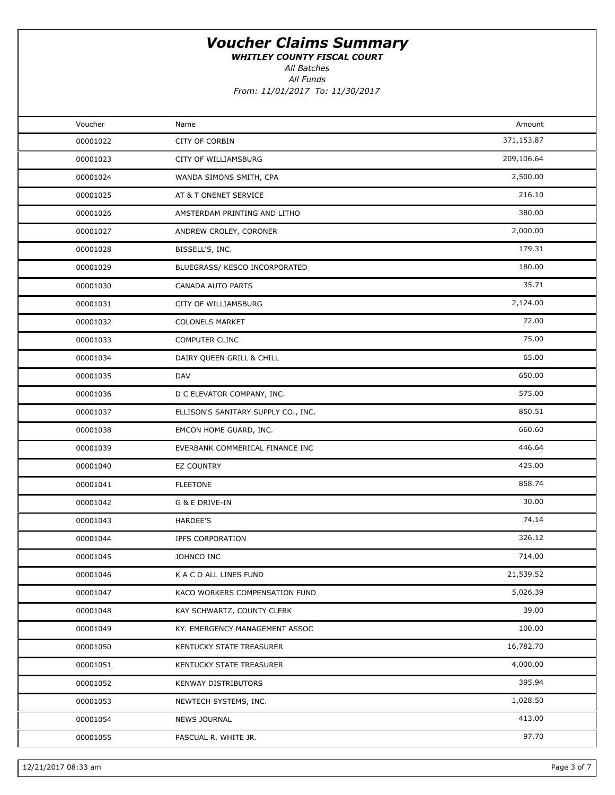WHITLEY COUNTY FISCAL COURT

All Batches

All Funds From: 11/01/2017 To: 11/30/2017

| Voucher  | Name                                | Amount     |
|----------|-------------------------------------|------------|
| 00001022 | CITY OF CORBIN                      | 371,153.87 |
| 00001023 | CITY OF WILLIAMSBURG                | 209,106.64 |
| 00001024 | WANDA SIMONS SMITH, CPA             | 2,500.00   |
| 00001025 | AT & T ONENET SERVICE               | 216.10     |
| 00001026 | AMSTERDAM PRINTING AND LITHO        | 380.00     |
| 00001027 | ANDREW CROLEY, CORONER              | 2,000.00   |
| 00001028 | BISSELL'S, INC.                     | 179.31     |
| 00001029 | BLUEGRASS/ KESCO INCORPORATED       | 180.00     |
| 00001030 | <b>CANADA AUTO PARTS</b>            | 35.71      |
| 00001031 | CITY OF WILLIAMSBURG                | 2,124.00   |
| 00001032 | <b>COLONELS MARKET</b>              | 72.00      |
| 00001033 | COMPUTER CLINC                      | 75.00      |
| 00001034 | DAIRY QUEEN GRILL & CHILL           | 65.00      |
| 00001035 | <b>DAV</b>                          | 650.00     |
| 00001036 | D C ELEVATOR COMPANY, INC.          | 575.00     |
| 00001037 | ELLISON'S SANITARY SUPPLY CO., INC. | 850.51     |
| 00001038 | EMCON HOME GUARD, INC.              | 660.60     |
| 00001039 | EVERBANK COMMERICAL FINANCE INC     | 446.64     |
| 00001040 | <b>EZ COUNTRY</b>                   | 425.00     |
| 00001041 | <b>FLEETONE</b>                     | 858.74     |
| 00001042 | G & E DRIVE-IN                      | 30.00      |
| 00001043 | <b>HARDEE'S</b>                     | 74.14      |
| 00001044 | IPFS CORPORATION                    | 326.12     |
| 00001045 | JOHNCO INC                          | 714.00     |
| 00001046 | K A C O ALL LINES FUND              | 21,539.52  |
| 00001047 | KACO WORKERS COMPENSATION FUND      | 5,026.39   |
| 00001048 | KAY SCHWARTZ, COUNTY CLERK          | 39.00      |
| 00001049 | KY. EMERGENCY MANAGEMENT ASSOC      | 100.00     |
| 00001050 | KENTUCKY STATE TREASURER            | 16,782.70  |
| 00001051 | KENTUCKY STATE TREASURER            | 4,000.00   |
| 00001052 | <b>KENWAY DISTRIBUTORS</b>          | 395.94     |
| 00001053 | NEWTECH SYSTEMS, INC.               | 1,028.50   |
| 00001054 | NEWS JOURNAL                        | 413.00     |
| 00001055 | PASCUAL R. WHITE JR.                | 97.70      |
|          |                                     |            |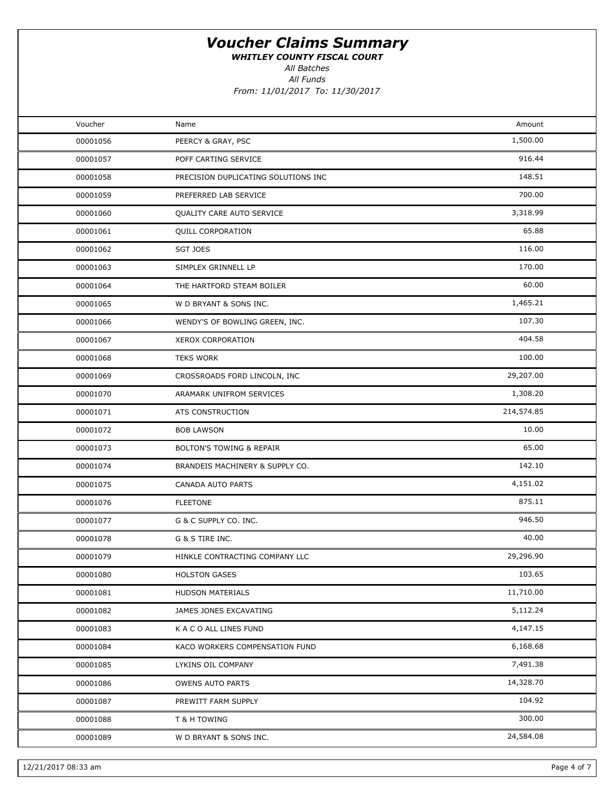WHITLEY COUNTY FISCAL COURT

All Batches

All Funds From: 11/01/2017 To: 11/30/2017

| Voucher<br>00001056<br>00001057<br>00001058 | Name<br>PEERCY & GRAY, PSC<br>POFF CARTING SERVICE<br>PRECISION DUPLICATING SOLUTIONS INC<br>PREFERRED LAB SERVICE | Amount<br>1,500.00<br>916.44<br>148.51 |  |
|---------------------------------------------|--------------------------------------------------------------------------------------------------------------------|----------------------------------------|--|
|                                             |                                                                                                                    |                                        |  |
|                                             |                                                                                                                    |                                        |  |
|                                             |                                                                                                                    |                                        |  |
|                                             |                                                                                                                    |                                        |  |
| 00001059                                    |                                                                                                                    | 700.00                                 |  |
| 00001060                                    | QUALITY CARE AUTO SERVICE                                                                                          | 3,318.99                               |  |
| 00001061                                    | <b>QUILL CORPORATION</b>                                                                                           | 65.88                                  |  |
| 00001062                                    | <b>SGT JOES</b>                                                                                                    | 116.00                                 |  |
| 00001063                                    | SIMPLEX GRINNELL LP                                                                                                | 170.00                                 |  |
| 00001064                                    | THE HARTFORD STEAM BOILER                                                                                          | 60.00                                  |  |
| 00001065                                    | W D BRYANT & SONS INC.                                                                                             | 1,465.21                               |  |
| 00001066                                    | WENDY'S OF BOWLING GREEN, INC.                                                                                     | 107.30                                 |  |
| 00001067                                    | <b>XEROX CORPORATION</b>                                                                                           | 404.58                                 |  |
| 00001068                                    | <b>TEKS WORK</b>                                                                                                   | 100.00                                 |  |
| 00001069                                    | CROSSROADS FORD LINCOLN, INC                                                                                       | 29,207.00                              |  |
| 00001070                                    | ARAMARK UNIFROM SERVICES                                                                                           | 1,308.20                               |  |
| 00001071                                    | ATS CONSTRUCTION                                                                                                   | 214,574.85                             |  |
| 00001072                                    | <b>BOB LAWSON</b>                                                                                                  | 10.00                                  |  |
| 00001073                                    | <b>BOLTON'S TOWING &amp; REPAIR</b>                                                                                | 65.00                                  |  |
| 00001074                                    | BRANDEIS MACHINERY & SUPPLY CO.                                                                                    | 142.10                                 |  |
| 00001075                                    | CANADA AUTO PARTS                                                                                                  | 4,151.02                               |  |
| 00001076                                    | <b>FLEETONE</b>                                                                                                    | 875.11                                 |  |
| 00001077                                    | G & C SUPPLY CO. INC.                                                                                              | 946.50                                 |  |
| 00001078                                    | G & S TIRE INC.                                                                                                    | 40.00                                  |  |
| 00001079                                    | HINKLE CONTRACTING COMPANY LLC                                                                                     | 29,296.90                              |  |
| 00001080                                    | <b>HOLSTON GASES</b>                                                                                               | 103.65                                 |  |
| 00001081                                    | <b>HUDSON MATERIALS</b>                                                                                            | 11,710.00                              |  |
| 00001082                                    | JAMES JONES EXCAVATING                                                                                             | 5,112.24                               |  |
| 00001083                                    | K A C O ALL LINES FUND                                                                                             | 4,147.15                               |  |
| 00001084                                    | KACO WORKERS COMPENSATION FUND                                                                                     | 6,168.68                               |  |
| 00001085                                    | LYKINS OIL COMPANY                                                                                                 | 7,491.38                               |  |
| 00001086                                    | <b>OWENS AUTO PARTS</b>                                                                                            | 14,328.70                              |  |
| 00001087                                    | PREWITT FARM SUPPLY                                                                                                | 104.92                                 |  |
| 00001088                                    | T & H TOWING                                                                                                       | 300.00                                 |  |
| 00001089                                    | W D BRYANT & SONS INC.                                                                                             | 24,584.08                              |  |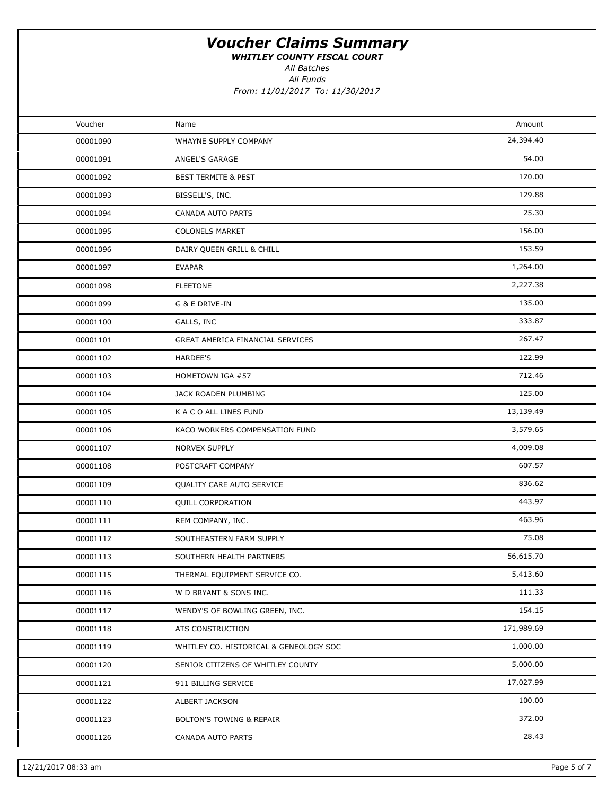WHITLEY COUNTY FISCAL COURT

All Funds All Batches

| Voucher  | Name                                   | Amount     |  |
|----------|----------------------------------------|------------|--|
| 00001090 | WHAYNE SUPPLY COMPANY                  | 24,394.40  |  |
| 00001091 | ANGEL'S GARAGE                         | 54.00      |  |
| 00001092 | <b>BEST TERMITE &amp; PEST</b>         | 120.00     |  |
| 00001093 | BISSELL'S, INC.                        | 129.88     |  |
| 00001094 | CANADA AUTO PARTS                      | 25.30      |  |
| 00001095 | <b>COLONELS MARKET</b>                 | 156.00     |  |
| 00001096 | DAIRY QUEEN GRILL & CHILL              | 153.59     |  |
| 00001097 | <b>EVAPAR</b>                          | 1,264.00   |  |
| 00001098 | <b>FLEETONE</b>                        | 2,227.38   |  |
| 00001099 | G & E DRIVE-IN                         | 135.00     |  |
| 00001100 | GALLS, INC                             | 333.87     |  |
| 00001101 | GREAT AMERICA FINANCIAL SERVICES       | 267.47     |  |
| 00001102 | <b>HARDEE'S</b>                        | 122.99     |  |
| 00001103 | HOMETOWN IGA #57                       | 712.46     |  |
| 00001104 | JACK ROADEN PLUMBING                   | 125.00     |  |
| 00001105 | K A C O ALL LINES FUND                 | 13,139.49  |  |
| 00001106 | KACO WORKERS COMPENSATION FUND         | 3,579.65   |  |
| 00001107 | NORVEX SUPPLY                          | 4,009.08   |  |
| 00001108 | POSTCRAFT COMPANY                      | 607.57     |  |
| 00001109 | QUALITY CARE AUTO SERVICE              | 836.62     |  |
| 00001110 | <b>QUILL CORPORATION</b>               | 443.97     |  |
| 00001111 | REM COMPANY, INC.                      | 463.96     |  |
| 00001112 | SOUTHEASTERN FARM SUPPLY               | 75.08      |  |
| 00001113 | SOUTHERN HEALTH PARTNERS               | 56,615.70  |  |
| 00001115 | THERMAL EQUIPMENT SERVICE CO.          | 5,413.60   |  |
| 00001116 | W D BRYANT & SONS INC.                 | 111.33     |  |
| 00001117 | WENDY'S OF BOWLING GREEN, INC.         | 154.15     |  |
| 00001118 | ATS CONSTRUCTION                       | 171,989.69 |  |
| 00001119 | WHITLEY CO. HISTORICAL & GENEOLOGY SOC | 1,000.00   |  |
| 00001120 | SENIOR CITIZENS OF WHITLEY COUNTY      | 5,000.00   |  |
| 00001121 | 911 BILLING SERVICE                    | 17,027.99  |  |
| 00001122 | ALBERT JACKSON                         | 100.00     |  |
| 00001123 | <b>BOLTON'S TOWING &amp; REPAIR</b>    | 372.00     |  |
| 00001126 | CANADA AUTO PARTS                      | 28.43      |  |
|          |                                        |            |  |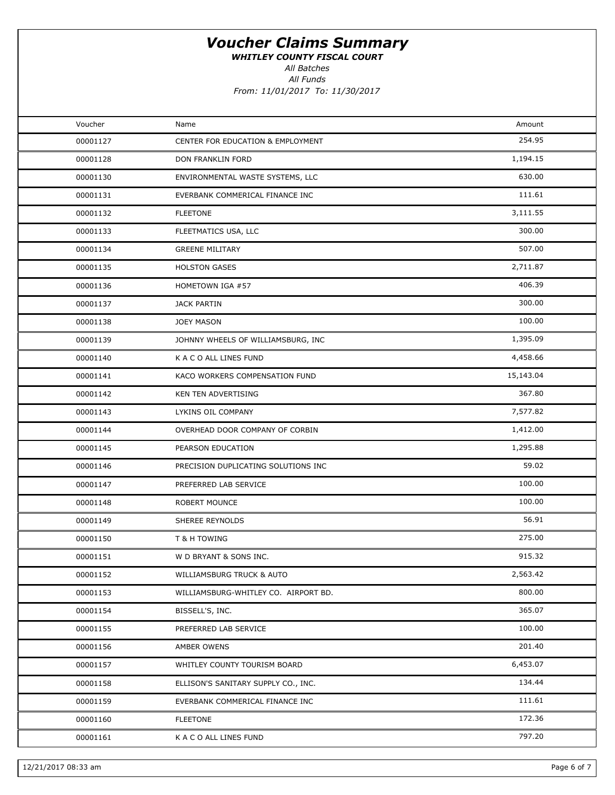WHITLEY COUNTY FISCAL COURT

All Batches

All Funds

| Voucher  | Name                                 | Amount    |  |
|----------|--------------------------------------|-----------|--|
| 00001127 | CENTER FOR EDUCATION & EMPLOYMENT    | 254.95    |  |
| 00001128 | DON FRANKLIN FORD                    | 1,194.15  |  |
| 00001130 | ENVIRONMENTAL WASTE SYSTEMS, LLC     | 630.00    |  |
| 00001131 | EVERBANK COMMERICAL FINANCE INC      | 111.61    |  |
| 00001132 | <b>FLEETONE</b>                      | 3,111.55  |  |
| 00001133 | FLEETMATICS USA, LLC                 | 300.00    |  |
| 00001134 | <b>GREENE MILITARY</b>               | 507.00    |  |
| 00001135 | <b>HOLSTON GASES</b>                 | 2,711.87  |  |
| 00001136 | HOMETOWN IGA #57                     | 406.39    |  |
| 00001137 | JACK PARTIN                          | 300.00    |  |
| 00001138 | <b>JOEY MASON</b>                    | 100.00    |  |
| 00001139 | JOHNNY WHEELS OF WILLIAMSBURG, INC   | 1,395.09  |  |
| 00001140 | K A C O ALL LINES FUND               | 4,458.66  |  |
| 00001141 | KACO WORKERS COMPENSATION FUND       | 15,143.04 |  |
| 00001142 | KEN TEN ADVERTISING                  | 367.80    |  |
| 00001143 | LYKINS OIL COMPANY                   | 7,577.82  |  |
| 00001144 | OVERHEAD DOOR COMPANY OF CORBIN      | 1,412.00  |  |
| 00001145 | PEARSON EDUCATION                    | 1,295.88  |  |
| 00001146 | PRECISION DUPLICATING SOLUTIONS INC  | 59.02     |  |
| 00001147 | PREFERRED LAB SERVICE                | 100.00    |  |
| 00001148 | ROBERT MOUNCE                        | 100.00    |  |
| 00001149 | SHEREE REYNOLDS                      | 56.91     |  |
| 00001150 | T & H TOWING                         | 275.00    |  |
| 00001151 | W D BRYANT & SONS INC.               | 915.32    |  |
| 00001152 | WILLIAMSBURG TRUCK & AUTO            | 2,563.42  |  |
| 00001153 | WILLIAMSBURG-WHITLEY CO. AIRPORT BD. | 800.00    |  |
| 00001154 | BISSELL'S, INC.                      | 365.07    |  |
| 00001155 | PREFERRED LAB SERVICE                | 100.00    |  |
| 00001156 | AMBER OWENS                          | 201.40    |  |
| 00001157 | WHITLEY COUNTY TOURISM BOARD         | 6,453.07  |  |
| 00001158 | ELLISON'S SANITARY SUPPLY CO., INC.  | 134.44    |  |
| 00001159 | EVERBANK COMMERICAL FINANCE INC      | 111.61    |  |
| 00001160 | <b>FLEETONE</b>                      | 172.36    |  |
| 00001161 | K A C O ALL LINES FUND               | 797.20    |  |
|          |                                      |           |  |